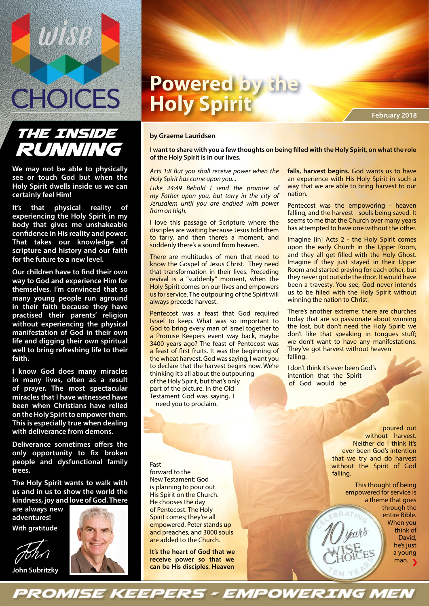

# **THE INSIDE** RUNNING

**We may not be able to physically see or touch God but when the Holy Spirit dwells inside us we can certainly feel Him!** 

**It's that physical reality of experiencing the Holy Spirit in my body that gives me unshakeable confidence in His reality and power. That takes our knowledge of scripture and history and our faith for the future to a new level.**

**Our children have to find their own way to God and experience Him for themselves. I'm convinced that so many young people run aground in their faith because they have practised their parents' religion without experiencing the physical manifestation of God in their own life and digging their own spiritual well to bring refreshing life to their faith.**

**I know God does many miracles in many lives, often as a result of prayer. The most spectacular miracles that I have witnessed have been when Christians have relied on the Holy Spirit to empower them. This is especially true when dealing with deliverance from demons.**

**Deliverance sometimes offers the only opportunity to fix broken people and dysfunctional family trees.**

**The Holy Spirit wants to walk with us and in us to show the world the kindness, joy and love of God. There** 

**are always new adventures! With gratitude**

**John Subritzky**



#### **by Graeme Lauridsen**

**I want to share with you a few thoughts on being filled with the Holy Spirit, on what the role of the Holy Spirit is in our lives.** 

*Acts 1:8 But you shall receive power when the Holy Spirit has come upon you...* 

*Luke 24:49 Behold I send the promise of my Father upon you, but tarry in the city of Jerusalem until you are endued with power from on high.* 

I love this passage of Scripture where the disciples are waiting because Jesus told them to tarry, and then there's a moment, and suddenly there's a sound from heaven.

There are multitudes of men that need to know the Gospel of Jesus Christ. They need that transformation in their lives. Preceding revival is a "suddenly" moment, when the Holy Spirit comes on our lives and empowers us for service. The outpouring of the Spirit will always precede harvest.

Pentecost was a feast that God required Israel to keep. What was so important to God to bring every man of Israel together to a Promise Keepers event way back, maybe 3400 years ago? The feast of Pentecost was a feast of first fruits. It was the beginning of the wheat harvest. God was saying, I want you to declare that the harvest begins now. We're thinking it's all about the outpouring of the Holy Spirit, but that's only part of the picture. In the Old Testament God was saying, I need you to proclaim.

#### Fast

forward to the New Testament: God is planning to pour out His Spirit on the Church. He chooses the day of Pentecost. The Holy Spirit comes; they're all empowered. Peter stands up and preaches, and 3000 souls are added to the Church.

**It's the heart of God that we receive power so that we can be His disciples. Heaven** 

**PROMISE KEEPERS - EMPOWERING MEN** 

**falls, harvest begins.** God wants us to have an experience with His Holy Spirit in such a way that we are able to bring harvest to our nation.

Pentecost was the empowering - heaven falling, and the harvest - souls being saved. It seems to me that the Church over many years has attempted to have one without the other.

Imagine [in] Acts 2 - the Holy Spirit comes upon the early Church in the Upper Room, and they all get filled with the Holy Ghost. Imagine if they just stayed in their Upper Room and started praying for each other, but they never got outside the door. It would have been a travesty. You see, God never intends us to be filled with the Holy Spirit without winning the nation to Christ.

There's another extreme: there are churches today that are so passionate about winning the lost, but don't need the Holy Spirit: we don't like that speaking in tongues stuff; we don't want to have any manifestations. They've got harvest without heaven falling.

I don't think it's ever been God's intention that the Spirit of God would be

> poured out without harvest. Neither do I think it's ever been God's intention that we try and do harvest without the Spirit of God falling.

> > This thought of being empowered for service is a theme that goes through the entire Bible. When you think of David, he's just a young man. >